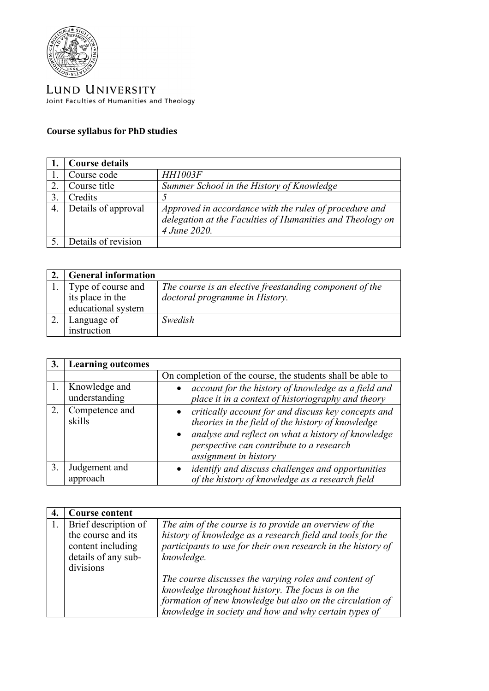

LUND UNIVERSITY Joint Faculties of Humanities and Theology

## **Course syllabus for PhD studies**

|    | <b>Course details</b> |                                                           |
|----|-----------------------|-----------------------------------------------------------|
|    | Course code           | <b>HH1003F</b>                                            |
| 2  | Course title          | Summer School in the History of Knowledge                 |
|    | Credits               |                                                           |
| 4. | Details of approval   | Approved in accordance with the rules of procedure and    |
|    |                       | delegation at the Faculties of Humanities and Theology on |
|    |                       | 4 June 2020.                                              |
|    | Details of revision   |                                                           |

| <b>General information</b> |                                                         |
|----------------------------|---------------------------------------------------------|
| Type of course and         | The course is an elective freestanding component of the |
| its place in the           | doctoral programme in History.                          |
| educational system         |                                                         |
| Language of                | Swedish                                                 |
| instruction                |                                                         |

| 3. | <b>Learning outcomes</b>       |                                                                                                                                                                                                                                                  |
|----|--------------------------------|--------------------------------------------------------------------------------------------------------------------------------------------------------------------------------------------------------------------------------------------------|
|    |                                | On completion of the course, the students shall be able to                                                                                                                                                                                       |
|    | Knowledge and<br>understanding | account for the history of knowledge as a field and<br>place it in a context of historiography and theory                                                                                                                                        |
| 2. | Competence and<br>skills       | critically account for and discuss key concepts and<br>theories in the field of the history of knowledge<br>analyse and reflect on what a history of knowledge<br>$\bullet$<br>perspective can contribute to a research<br>assignment in history |
| 3. | Judgement and<br>approach      | identify and discuss challenges and opportunities<br>of the history of knowledge as a research field                                                                                                                                             |

| <b>Course content</b>                                           |                                                                                                                                                                                                                                                |
|-----------------------------------------------------------------|------------------------------------------------------------------------------------------------------------------------------------------------------------------------------------------------------------------------------------------------|
| Brief description of<br>the course and its<br>content including | The aim of the course is to provide an overview of the<br>history of knowledge as a research field and tools for the<br>participants to use for their own research in the history of                                                           |
| details of any sub-<br>divisions                                | knowledge.<br>The course discusses the varying roles and content of<br>knowledge throughout history. The focus is on the<br>formation of new knowledge but also on the circulation of<br>knowledge in society and how and why certain types of |